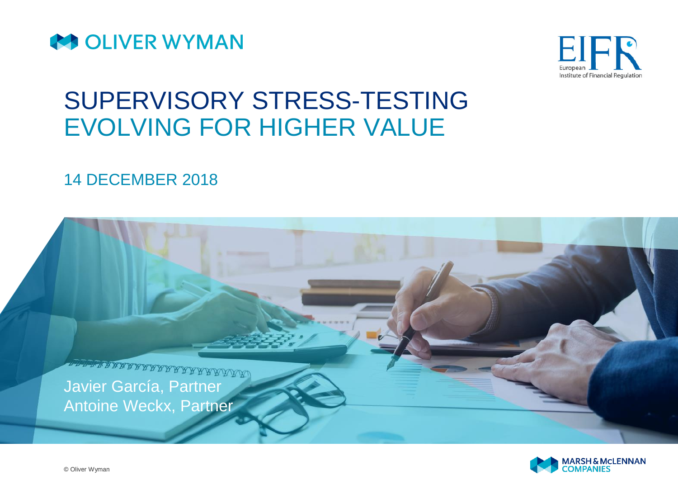



## SUPERVISORY STRESS-TESTING EVOLVING FOR HIGHER VALUE

### 14 DECEMBER 2018



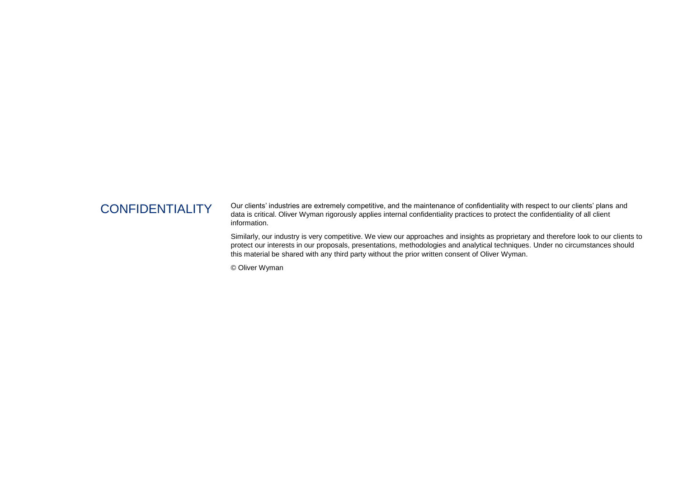CONFIDENTIALITY Our clients' industries are extremely competitive, and the maintenance of confidentiality with respect to our clients' plans and data is critical. Oliver Wyman rigorously applies internal confidentiality practices to protect the confidentiality of all client information.

> Similarly, our industry is very competitive. We view our approaches and insights as proprietary and therefore look to our clients to protect our interests in our proposals, presentations, methodologies and analytical techniques. Under no circumstances should this material be shared with any third party without the prior written consent of Oliver Wyman.

© Oliver Wyman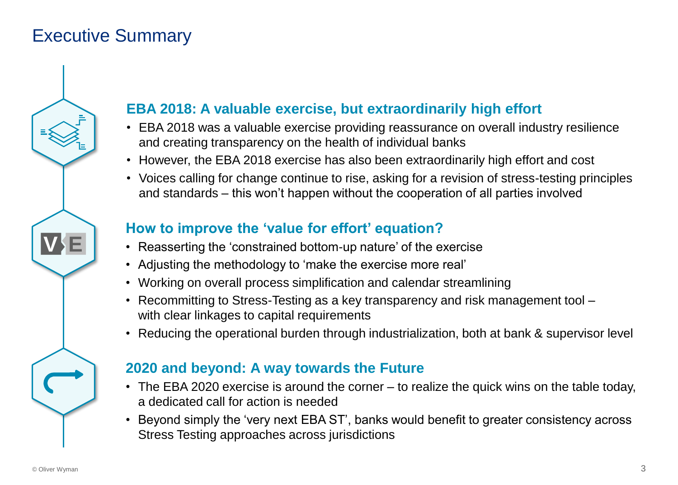## Executive Summary



#### **EBA 2018: A valuable exercise, but extraordinarily high effort**

- EBA 2018 was a valuable exercise providing reassurance on overall industry resilience and creating transparency on the health of individual banks
- However, the EBA 2018 exercise has also been extraordinarily high effort and cost
- Voices calling for change continue to rise, asking for a revision of stress-testing principles and standards – this won't happen without the cooperation of all parties involved

#### **How to improve the 'value for effort' equation?**

- Reasserting the 'constrained bottom-up nature' of the exercise
- Adjusting the methodology to 'make the exercise more real'
- Working on overall process simplification and calendar streamlining
- Recommitting to Stress-Testing as a key transparency and risk management tool with clear linkages to capital requirements
- Reducing the operational burden through industrialization, both at bank & supervisor level

#### **2020 and beyond: A way towards the Future**

- The EBA 2020 exercise is around the corner to realize the quick wins on the table today, a dedicated call for action is needed
- Beyond simply the 'very next EBA ST', banks would benefit to greater consistency across Stress Testing approaches across jurisdictions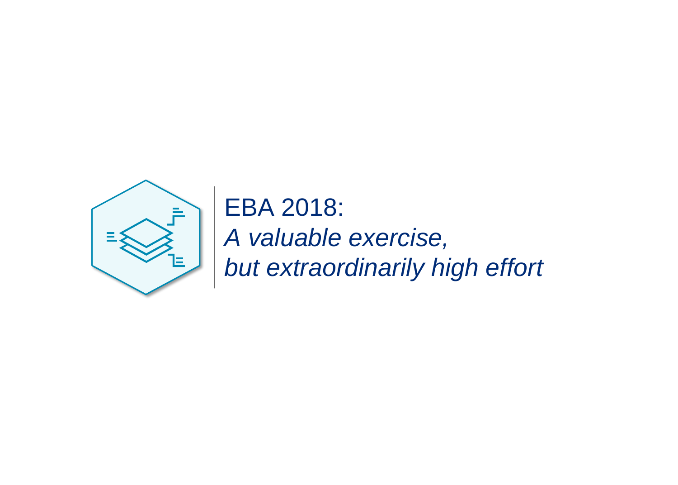

## EBA 2018: *A valuable exercise, but extraordinarily high effort*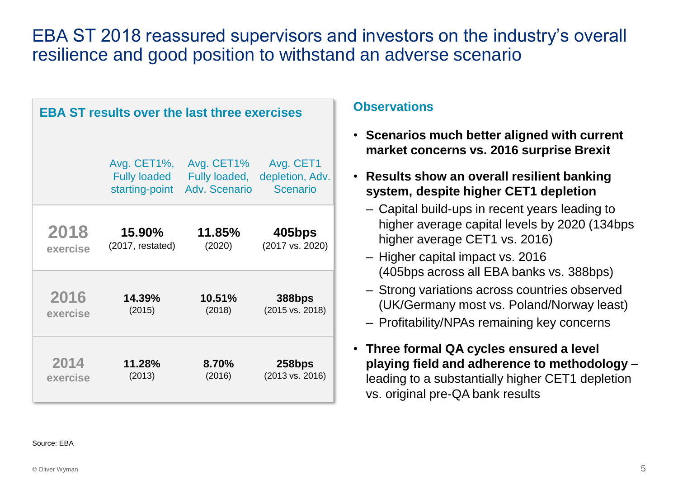## EBA ST 2018 reassured supervisors and investors on the industry's overall resilience and good position to withstand an adverse scenario

| <b>EBA ST results over the last three exercises</b> |                     |               |                 |  |  |
|-----------------------------------------------------|---------------------|---------------|-----------------|--|--|
|                                                     | Avg. CET1%,         | Avg. CET1%    | Avg. CET1       |  |  |
|                                                     | <b>Fully loaded</b> | Fully loaded, | depletion, Adv. |  |  |
|                                                     | starting-point      | Adv. Scenario | <b>Scenario</b> |  |  |
| 2018                                                | 15.90%              | 11.85%        | 405bps          |  |  |
| exercise                                            | (2017, restated)    | (2020)        | (2017 vs. 2020) |  |  |
| 2016                                                | 14.39%              | 10.51%        | 388bps          |  |  |
| exercise                                            | (2015)              | (2018)        | (2015 vs. 2018) |  |  |
| 2014                                                | 11.28%              | 8.70%         | 258bps          |  |  |
| exercise                                            | (2013)              | (2016)        | (2013 vs. 2016) |  |  |

#### **Observations**

- **Scenarios much better aligned with current market concerns vs. 2016 surprise Brexit**
- **Results show an overall resilient banking system, despite higher CET1 depletion**
	- Capital build-ups in recent years leading to higher average capital levels by 2020 (134bps higher average CET1 vs. 2016)
	- Higher capital impact vs. 2016 (405bps across all EBA banks vs. 388bps)
	- Strong variations across countries observed (UK/Germany most vs. Poland/Norway least)
	- Profitability/NPAs remaining key concerns
- **Three formal QA cycles ensured a level playing field and adherence to methodology** – leading to a substantially higher CET1 depletion vs. original pre-QA bank results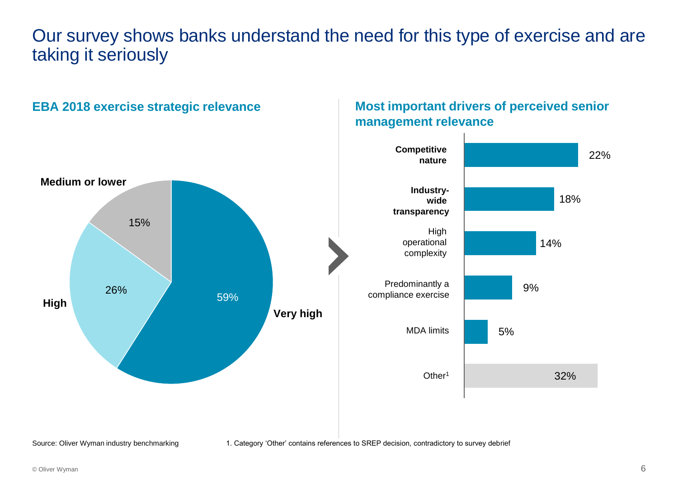## Our survey shows banks understand the need for this type of exercise and are taking it seriously



**EBA 2018 exercise strategic relevance Most important drivers of perceived senior management relevance**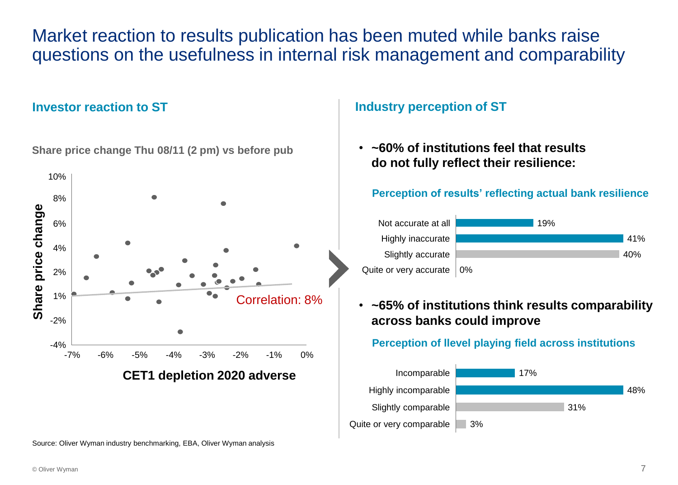Market reaction to results publication has been muted while banks raise questions on the usefulness in internal risk management and comparability



**Share price change Thu 08/11 (2 pm) vs before pub**

#### **Investor reaction to ST Industry perception of ST**

• **~60% of institutions feel that results do not fully reflect their resilience:**

#### **Perception of results' reflecting actual bank resilience**



• **~65% of institutions think results comparability across banks could improve**

#### **Perception of llevel playing field across institutions**



Source: Oliver Wyman industry benchmarking, EBA, Oliver Wyman analysis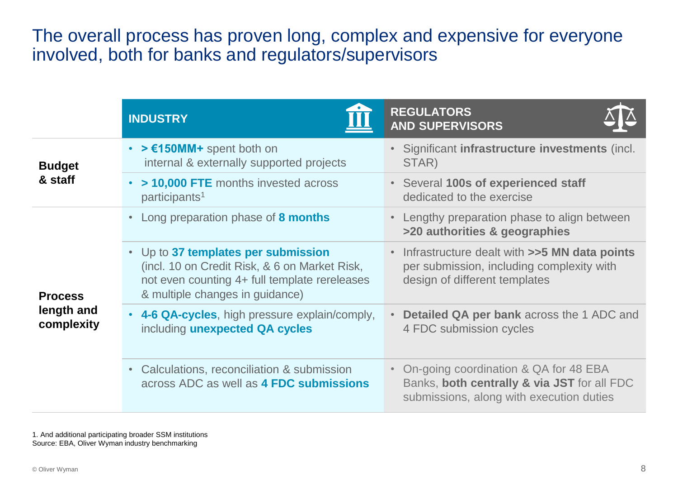The overall process has proven long, complex and expensive for everyone involved, both for banks and regulators/supervisors

|                                            | <b>INDUSTRY</b>                                                                                                                                                          | <b>REGULATORS</b><br><b>AND SUPERVISORS</b>                                                                                        |
|--------------------------------------------|--------------------------------------------------------------------------------------------------------------------------------------------------------------------------|------------------------------------------------------------------------------------------------------------------------------------|
| <b>Budget</b><br>& staff                   | $\cdot$ > $\epsilon$ 150MM+ spent both on<br>internal & externally supported projects                                                                                    | · Significant infrastructure investments (incl.<br>STAR)                                                                           |
|                                            | • > 10,000 FTE months invested across<br>participants <sup>1</sup>                                                                                                       | • Several 100s of experienced staff<br>dedicated to the exercise                                                                   |
| <b>Process</b><br>length and<br>complexity | • Long preparation phase of 8 months                                                                                                                                     | • Lengthy preparation phase to align between<br>>20 authorities & geographies                                                      |
|                                            | • Up to 37 templates per submission<br>(incl. 10 on Credit Risk, & 6 on Market Risk,<br>not even counting 4+ full template rereleases<br>& multiple changes in guidance) | • Infrastructure dealt with >>5 MN data points<br>per submission, including complexity with<br>design of different templates       |
|                                            | • 4-6 QA-cycles, high pressure explain/comply,<br>including <b>unexpected QA cycles</b>                                                                                  | • Detailed QA per bank across the 1 ADC and<br>4 FDC submission cycles                                                             |
|                                            | • Calculations, reconciliation & submission<br>across ADC as well as 4 FDC submissions                                                                                   | • On-going coordination & QA for 48 EBA<br>Banks, both centrally & via JST for all FDC<br>submissions, along with execution duties |

1. And additional participating broader SSM institutions Source: EBA, Oliver Wyman industry benchmarking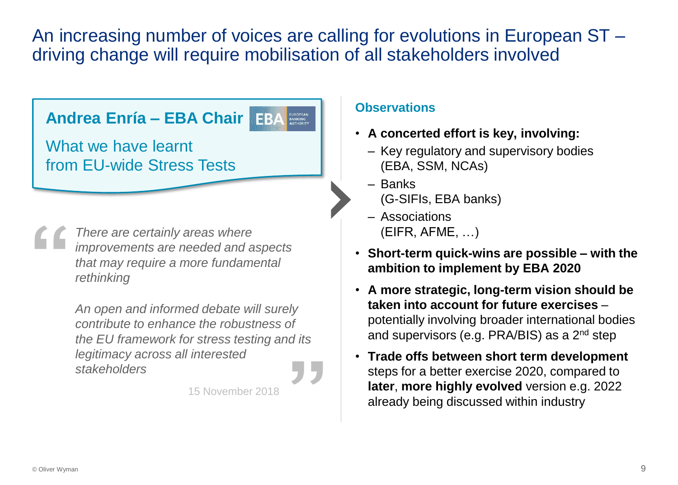An increasing number of voices are calling for evolutions in European ST – driving change will require mobilisation of all stakeholders involved

EUROPEAN<br>BANKING<br>AUTHORITY

**Andrea Enría – EBA Chair**

What we have learnt from EU-wide Stress Tests

> *There are certainly areas where improvements are needed and aspects that may require a more fundamental rethinking*

*An open and informed debate will surely contribute to enhance the robustness of the EU framework for stress testing and its legitimacy across all interested stakeholders*

15 November 2018

#### **Observations**

- **A concerted effort is key, involving:** 
	- Key regulatory and supervisory bodies (EBA, SSM, NCAs)
	- Banks (G-SIFIs, EBA banks)
	- Associations (EIFR, AFME, …)
- **Short-term quick-wins are possible – with the ambition to implement by EBA 2020**
- **A more strategic, long-term vision should be taken into account for future exercises** – potentially involving broader international bodies and supervisors (e.g. PRA/BIS) as a 2nd step
- **Trade offs between short term development**  steps for a better exercise 2020, compared to **later**, **more highly evolved** version e.g. 2022 already being discussed within industry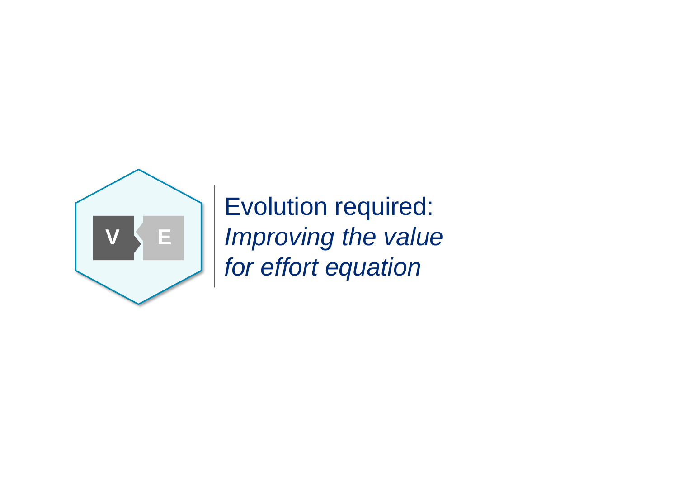

Evolution required: *Improving the value for effort equation*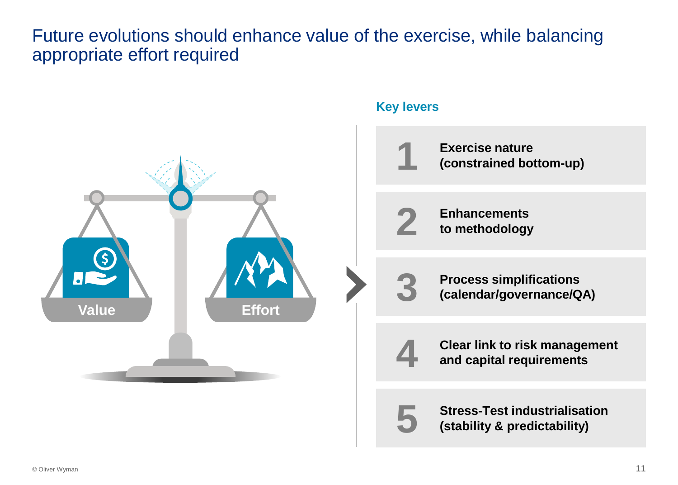Future evolutions should enhance value of the exercise, while balancing appropriate effort required

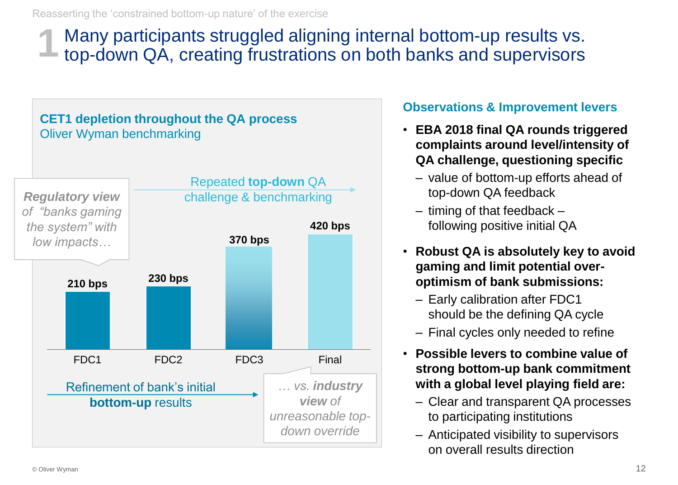Many participants struggled aligning internal bottom-up results vs.<br>top-down QA, creating frustrations on both banks and supervisors



#### **Observations & Improvement levers**

- **complaints around level/intensity of QA challenge, questioning specific**
	- value of bottom-up efforts ahead of top-down QA feedback
	- timing of that feedback following positive initial QA
- **Robust QA is absolutely key to avoid gaming and limit potential overoptimism of bank submissions:**
	- Early calibration after FDC1 should be the defining QA cycle
	- Final cycles only needed to refine
- **Possible levers to combine value of strong bottom-up bank commitment with a global level playing field are:**
	- Clear and transparent QA processes to participating institutions
	- Anticipated visibility to supervisors on overall results direction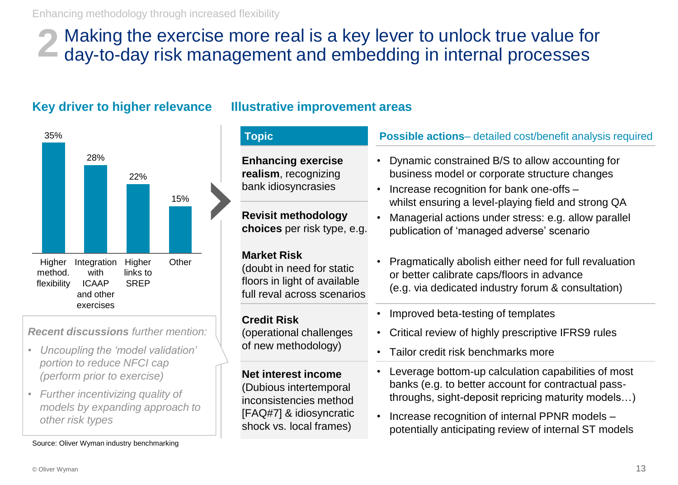# Making the exercise more real is a key lever to unlock true value for **2**day-to-day risk management and embedding in internal processes

#### **Key driver to higher relevance Illustrative improvement areas**

| 35%                                                                                                                               | <b>Topic</b>                                                                                                   | <b>Possible actions-</b> detailed cost/benefit analysis required                                                                                                                                                                                                                                         |  |
|-----------------------------------------------------------------------------------------------------------------------------------|----------------------------------------------------------------------------------------------------------------|----------------------------------------------------------------------------------------------------------------------------------------------------------------------------------------------------------------------------------------------------------------------------------------------------------|--|
| 28%<br>22%<br>15%                                                                                                                 | <b>Enhancing exercise</b><br>realism, recognizing<br>bank idiosyncrasies                                       | Dynamic constrained B/S to allow accounting for<br>business model or corporate structure changes<br>Increase recognition for bank one-offs -<br>whilst ensuring a level-playing field and strong QA<br>Managerial actions under stress: e.g. allow parallel<br>publication of 'managed adverse' scenario |  |
|                                                                                                                                   | <b>Revisit methodology</b><br>choices per risk type, e.g.                                                      |                                                                                                                                                                                                                                                                                                          |  |
| Higher<br>Higher<br>Other<br>Integration<br>nethod.<br>with<br>links to<br><b>SREP</b><br><b>ICAAP</b><br>lexibility<br>and other | <b>Market Risk</b><br>(doubt in need for static<br>floors in light of available<br>full reval across scenarios | Pragmatically abolish either need for full revaluation<br>or better calibrate caps/floors in advance<br>(e.g. via dedicated industry forum & consultation)                                                                                                                                               |  |
| exercises<br><b>cent discussions</b> further mention:<br>Uncoupling the 'model validation'                                        | <b>Credit Risk</b><br>(operational challenges<br>of new methodology)                                           | Improved beta-testing of templates<br>• Critical review of highly prescriptive IFRS9 rules<br>Tailor credit risk benchmarks more                                                                                                                                                                         |  |
| portion to reduce NFCI cap<br>(perform prior to exercise)                                                                         | Net interest income                                                                                            | Leverage bottom-up calculation capabilities of most<br>banks (e.g. to better account for contractual pass-                                                                                                                                                                                               |  |
| Further incentivizing quality of<br>models by expanding approach to<br>other risk types                                           | (Dubious intertemporal<br>inconsistencies method<br>[FAQ#7] & idiosyncratic<br>shock vs. local frames)         | throughs, sight-deposit repricing maturity models)<br>Increase recognition of internal PPNR models -<br>potentially anticipating review of internal ST models                                                                                                                                            |  |
|                                                                                                                                   |                                                                                                                |                                                                                                                                                                                                                                                                                                          |  |

*Recent discussions further mention:*

- Uncoupling the 'me *portion to reduce N (perform prior to e)*
- Further incentivizir models by expand *other risk types*

Source: Oliver Wyman industry benchmarking

method. flexibility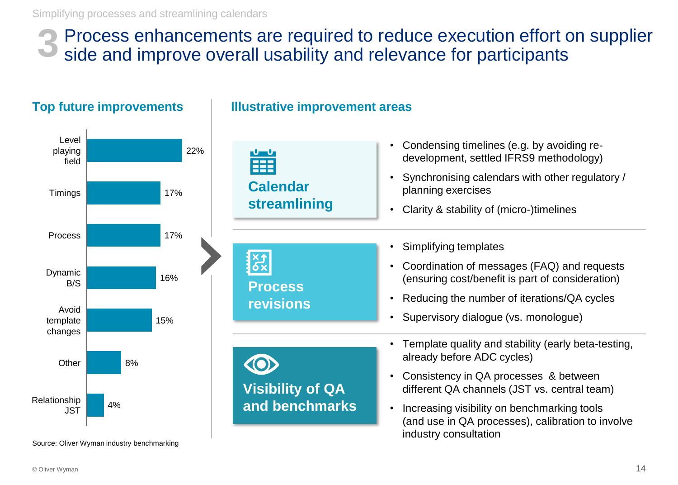Simplifying processes and streamlining calendars

Process enhancements are required to reduce execution effort on supplier side and improve overall usability and relevance for participants



Source: Oliver Wyman industry benchmarking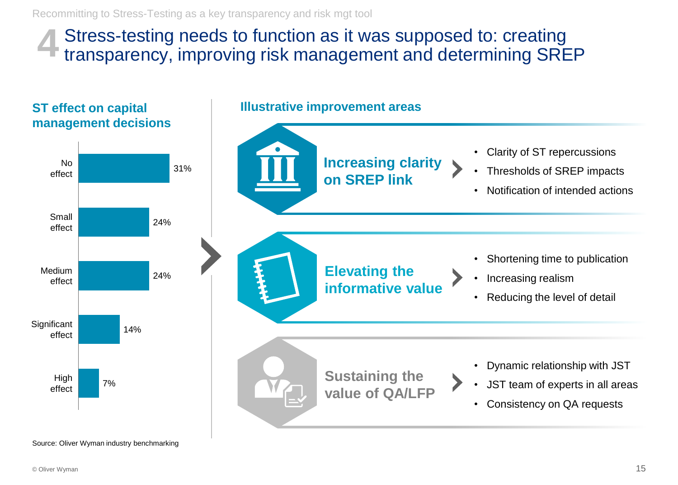# Stress-testing needs to function as it was supposed to: creating transparency, improving risk management and determining SREP



Source: Oliver Wyman industry benchmarking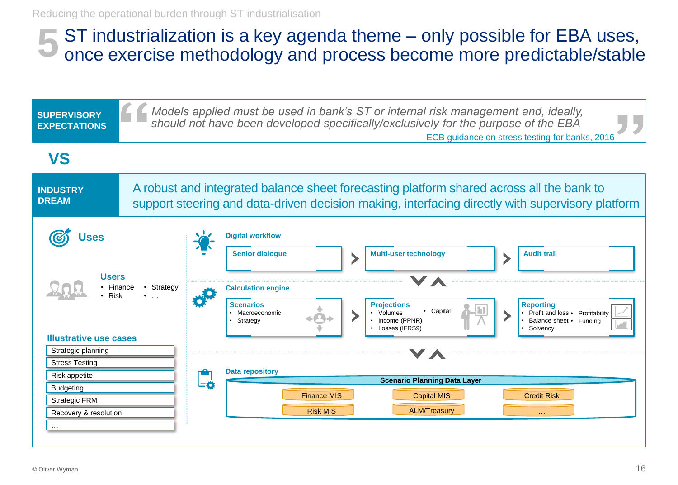

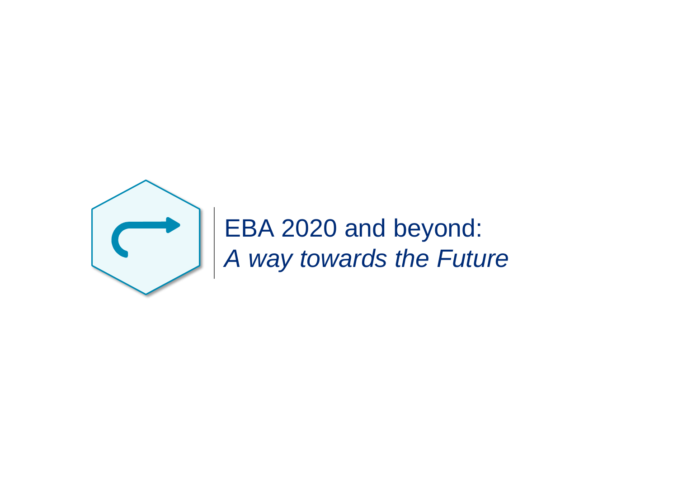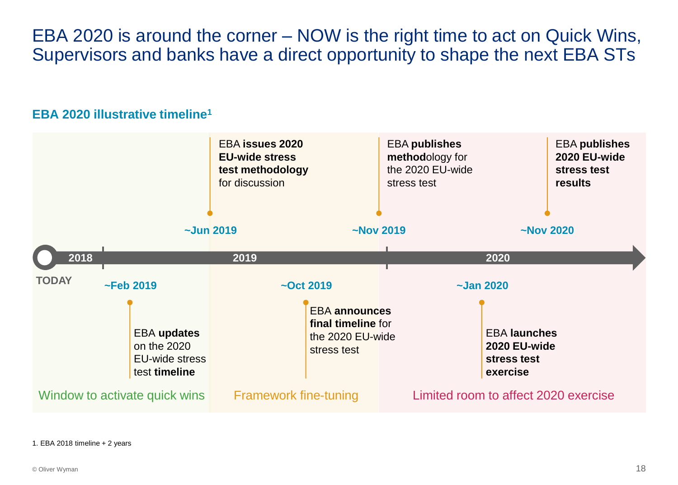EBA 2020 is around the corner – NOW is the right time to act on Quick Wins, Supervisors and banks have a direct opportunity to shape the next EBA STs

#### **EBA 2020 illustrative timeline<sup>1</sup>**

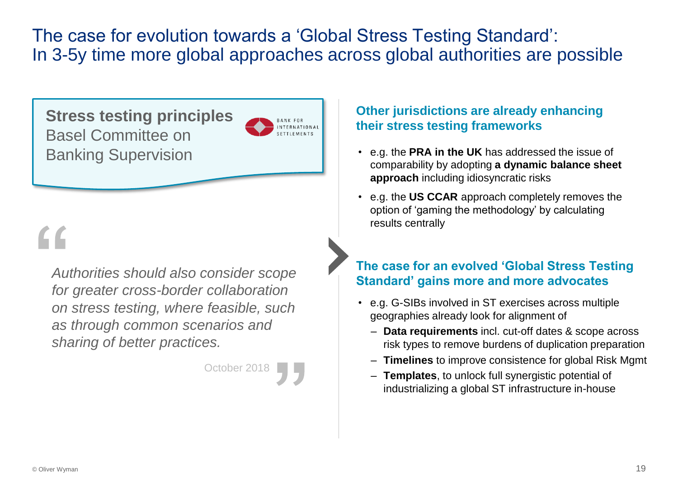The case for evolution towards a 'Global Stress Testing Standard': In 3-5y time more global approaches across global authorities are possible

ATIONAL

**Stress testing principles** Basel Committee on Banking Supervision

# $\epsilon$

*Authorities should also consider scope for greater cross-border collaboration on stress testing, where feasible, such as through common scenarios and sharing of better practices.* 

October 2018

#### **Other jurisdictions are already enhancing their stress testing frameworks**

- e.g. the **PRA in the UK** has addressed the issue of comparability by adopting **a dynamic balance sheet approach** including idiosyncratic risks
- e.g. the **US CCAR** approach completely removes the option of 'gaming the methodology' by calculating results centrally

#### **The case for an evolved 'Global Stress Testing Standard' gains more and more advocates**

- e.g. G-SIBs involved in ST exercises across multiple geographies already look for alignment of
	- **Data requirements** incl. cut-off dates & scope across risk types to remove burdens of duplication preparation
	- **Timelines** to improve consistence for global Risk Mgmt
	- **Templates**, to unlock full synergistic potential of industrializing a global ST infrastructure in-house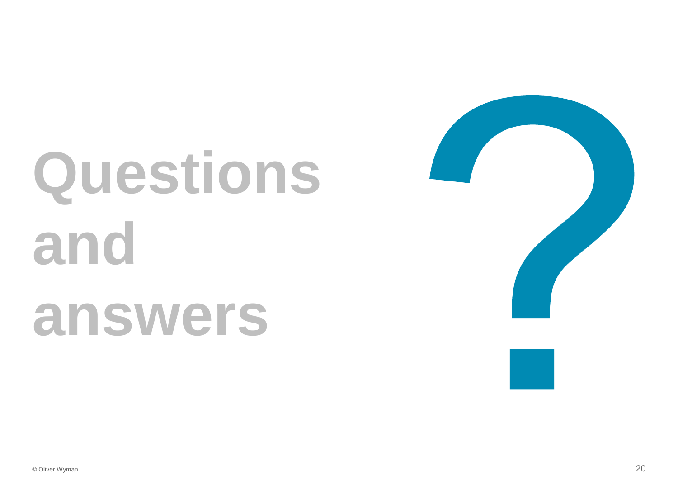# **Questions and answers**

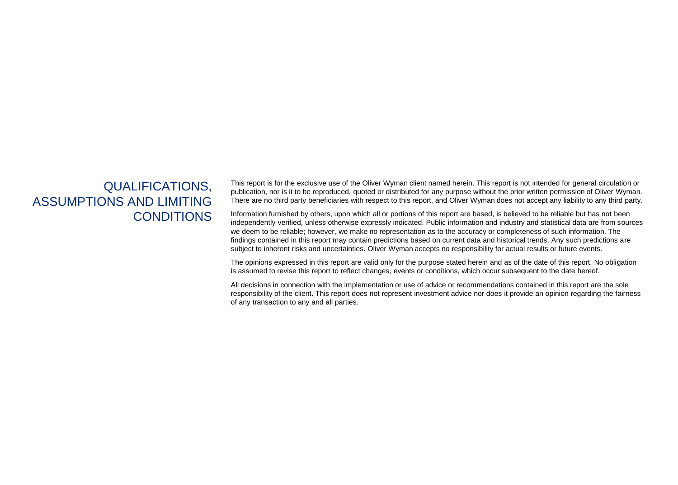#### QUALIFICATIONS, ASSUMPTIONS AND LIMITING **CONDITIONS**

This report is for the exclusive use of the Oliver Wyman client named herein. This report is not intended for general circulation or publication, nor is it to be reproduced, quoted or distributed for any purpose without the prior written permission of Oliver Wyman. There are no third party beneficiaries with respect to this report, and Oliver Wyman does not accept any liability to any third party.

Information furnished by others, upon which all or portions of this report are based, is believed to be reliable but has not been independently verified, unless otherwise expressly indicated. Public information and industry and statistical data are from sources we deem to be reliable; however, we make no representation as to the accuracy or completeness of such information. The findings contained in this report may contain predictions based on current data and historical trends. Any such predictions are subject to inherent risks and uncertainties. Oliver Wyman accepts no responsibility for actual results or future events.

The opinions expressed in this report are valid only for the purpose stated herein and as of the date of this report. No obligation is assumed to revise this report to reflect changes, events or conditions, which occur subsequent to the date hereof.

All decisions in connection with the implementation or use of advice or recommendations contained in this report are the sole responsibility of the client. This report does not represent investment advice nor does it provide an opinion regarding the fairness of any transaction to any and all parties.